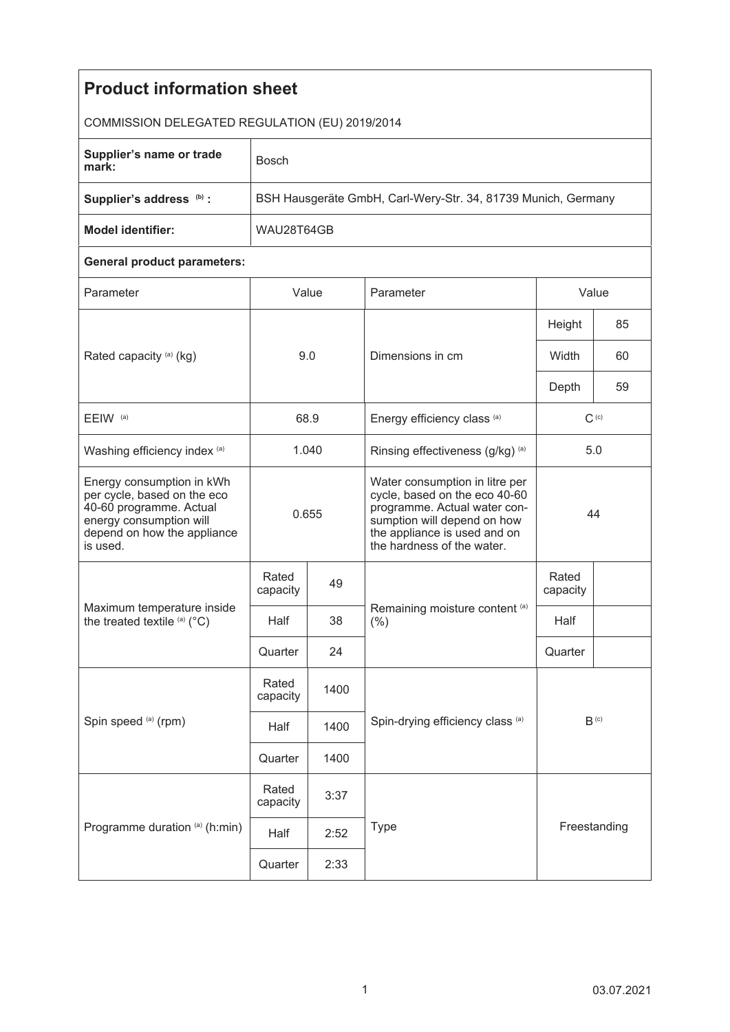| <b>Product information sheet</b>                                                                                                                          |                                                               |      |                                                                                                                                                                                              |                             |    |  |  |  |
|-----------------------------------------------------------------------------------------------------------------------------------------------------------|---------------------------------------------------------------|------|----------------------------------------------------------------------------------------------------------------------------------------------------------------------------------------------|-----------------------------|----|--|--|--|
| COMMISSION DELEGATED REGULATION (EU) 2019/2014                                                                                                            |                                                               |      |                                                                                                                                                                                              |                             |    |  |  |  |
| Supplier's name or trade<br>mark:                                                                                                                         | <b>Bosch</b>                                                  |      |                                                                                                                                                                                              |                             |    |  |  |  |
| Supplier's address (b) :                                                                                                                                  | BSH Hausgeräte GmbH, Carl-Wery-Str. 34, 81739 Munich, Germany |      |                                                                                                                                                                                              |                             |    |  |  |  |
| <b>Model identifier:</b>                                                                                                                                  | WAU28T64GB                                                    |      |                                                                                                                                                                                              |                             |    |  |  |  |
| <b>General product parameters:</b>                                                                                                                        |                                                               |      |                                                                                                                                                                                              |                             |    |  |  |  |
| Parameter                                                                                                                                                 | Value                                                         |      | Parameter                                                                                                                                                                                    | Value                       |    |  |  |  |
| Rated capacity (a) (kg)                                                                                                                                   | 9.0                                                           |      | Dimensions in cm                                                                                                                                                                             | Height                      | 85 |  |  |  |
|                                                                                                                                                           |                                                               |      |                                                                                                                                                                                              | Width                       | 60 |  |  |  |
|                                                                                                                                                           |                                                               |      |                                                                                                                                                                                              | Depth                       | 59 |  |  |  |
| EEIW <sup>(a)</sup>                                                                                                                                       | 68.9                                                          |      | Energy efficiency class (a)                                                                                                                                                                  | $C^{(c)}$                   |    |  |  |  |
| Washing efficiency index (a)                                                                                                                              | 1.040                                                         |      | Rinsing effectiveness (g/kg) (a)                                                                                                                                                             | 5.0                         |    |  |  |  |
| Energy consumption in kWh<br>per cycle, based on the eco<br>40-60 programme. Actual<br>energy consumption will<br>depend on how the appliance<br>is used. | 0.655                                                         |      | Water consumption in litre per<br>cycle, based on the eco 40-60<br>programme. Actual water con-<br>sumption will depend on how<br>the appliance is used and on<br>the hardness of the water. | 44                          |    |  |  |  |
| Maximum temperature inside<br>the treated textile (a) (°C)                                                                                                | Rated<br>capacity                                             | 49   | Remaining moisture content (a)<br>(% )                                                                                                                                                       | Rated<br>capacity           |    |  |  |  |
|                                                                                                                                                           | Half                                                          | 38   |                                                                                                                                                                                              | Half                        |    |  |  |  |
|                                                                                                                                                           | Quarter                                                       | 24   |                                                                                                                                                                                              | Quarter                     |    |  |  |  |
| Spin speed (a) (rpm)                                                                                                                                      | Rated<br>capacity                                             | 1400 |                                                                                                                                                                                              | $\mathsf{B}^{\textup{(c)}}$ |    |  |  |  |
|                                                                                                                                                           | Half                                                          | 1400 | Spin-drying efficiency class (a)                                                                                                                                                             |                             |    |  |  |  |
|                                                                                                                                                           | Quarter                                                       | 1400 |                                                                                                                                                                                              |                             |    |  |  |  |
| Programme duration (a) (h:min)                                                                                                                            | Rated<br>capacity                                             | 3:37 |                                                                                                                                                                                              |                             |    |  |  |  |
|                                                                                                                                                           | Half                                                          | 2:52 | <b>Type</b>                                                                                                                                                                                  | Freestanding                |    |  |  |  |
|                                                                                                                                                           | Quarter                                                       | 2:33 |                                                                                                                                                                                              |                             |    |  |  |  |